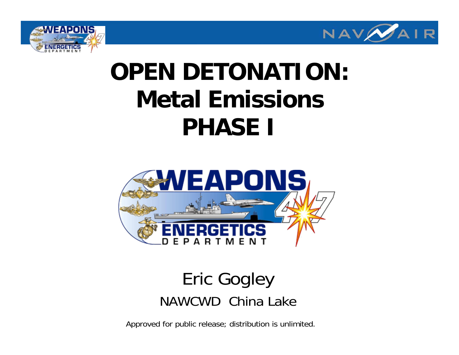



# **OPEN DETONATION: Metal EmissionsPHASE I**



#### Eric Gogley NAWCWD China Lake

Approved for public release; distribution is unlimited.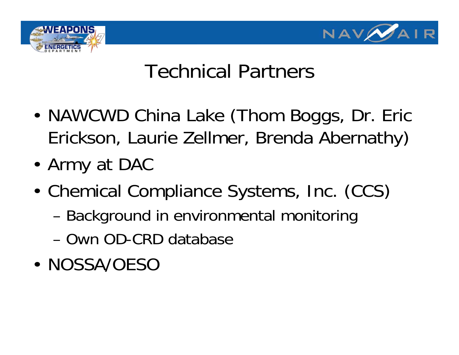



## Technical Partners

- • NAWCWD China Lake (Thom Boggs, Dr. Eric Erickson, Laurie Zellmer, Brenda Abernathy)
- Army at DAC
- • Chemical Compliance Systems, Inc. (CCS)
	- –Background in environmental monitoring
	- Own OD-CRD database
- NOSSA/OESO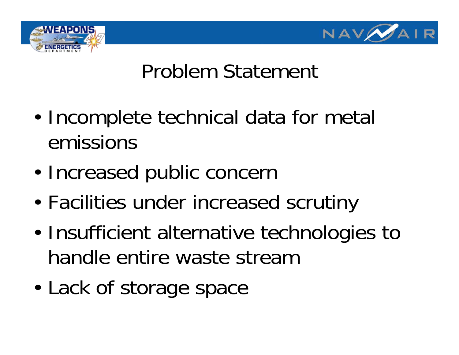



## Problem Statement

- • Incomplete technical data for metal emissions
- •Increased public concern
- •Facilities under increased scrutiny
- • Insufficient alternative technologies to handle entire waste stream
- •Lack of storage space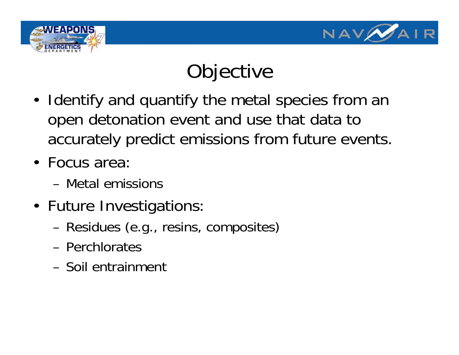



# **Objective**

- Identify and quantify the metal species from an open detonation event and use that data to accurately predict emissions from future events.
- Focus area:
	- Metal emissions
- Future Investigations:
	- –Residues (e.g., resins, composites)
	- Perchlorates
	- Soil entrainment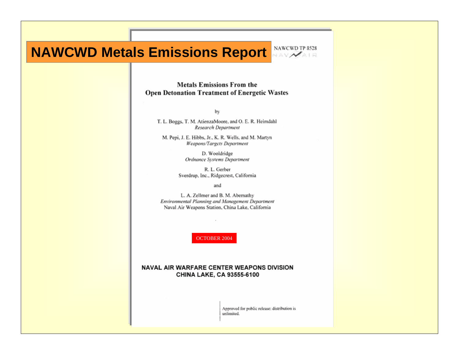#### **NAWCWD Metals Emissions Report** NAWCWD TP 8528



#### **Metals Emissions From the Open Detonation Treatment of Energetic Wastes**

by

T. L. Boggs, T. M. AtienzaMoore, and O. E. R. Heimdahl **Research Department** 

M. Pepi, J. E. Hibbs, Jr., K. R. Wells, and M. Martyn **Weapons/Targets Department** 

> D. Wooldridge **Ordnance Systems Department**

R. L. Gerber Sverdrup, Inc., Ridgecrest, California

and

L. A. Zellmer and B. M. Abernathy Environmental Planning and Management Department Naval Air Weapons Station, China Lake, California

OCTOBER 2004

#### NAVAL AIR WARFARE CENTER WEAPONS DIVISION CHINA LAKE, CA 93555-6100

Approved for public release: distribution is unlimited.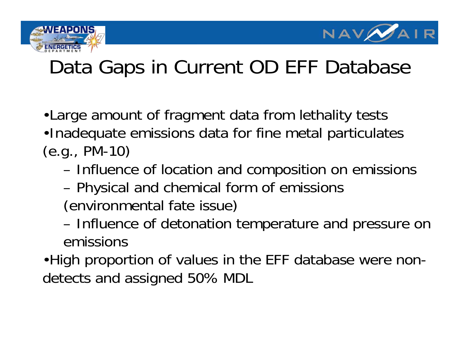



## Data Gaps in Current OD EFF Database

- •Large amount of fragment data from lethality tests
- •Inadequate emissions data for fine metal particulates (e.g., PM-10)
	- and the control of the con-Influence of location and composition on emissions
	- –Physical and chemical form of emissions
	- (environmental fate issue)
	- and the control of the con- Influence of detonation temperature and pressure on emissions
- •High proportion of values in the EFF database were nondetects and assigned 50% MDL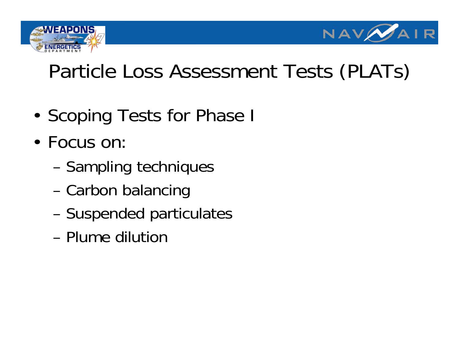



## Particle Loss Assessment Tests (PLATs)

- Scoping Tests for Phase I
- Focus on:
	- –Sampling techniques
	- –Carbon balancing
	- –Suspended particulates
	- Plume dilution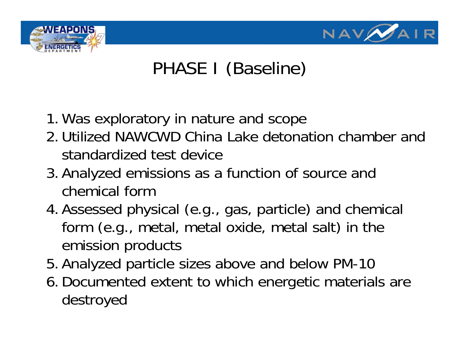

### PHASE I (Baseline)

- 1. Was exploratory in nature and scope
- 2. Utilized NAWCWD China Lake detonation chamber and standardized test device
- 3. Analyzed emissions as a function of source and chemical form
- 4. Assessed physical (e.g., gas, particle) and chemical form (e.g., metal, metal oxide, metal salt) in the emission products
- 5. Analyzed particle sizes above and below PM-10
- 6. Documented extent to which energetic materials are destroyed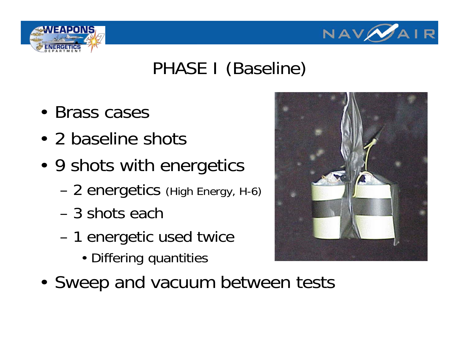

#### PHASE I (Baseline)

- Brass cases
- 2 baseline shots
- 9 shots with energetics
	- –2 energetics (High Energy, H-6)
	- 3 shots each
	- – 1 energetic used twice
		- Differing quantities



• Sweep and vacuum between tests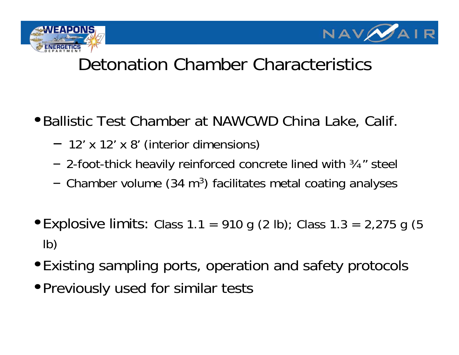



#### Detonation Chamber Characteristics

- •Ballistic Test Chamber at NAWCWD China Lake, Calif.
	- 12' x 12' x 8' (interior dimensions)
	- 2-foot-thick heavily reinforced concrete lined with ¾" steel
	- – $-$  Chamber volume (34 m<sup>3</sup>) facilitates metal coating analyses
- Explosive limits: Class 1.1 = 910 g (2 lb); Class 1.3 = 2,275 g (5 lb)
- •Existing sampling ports, operation and safety protocols
- •Previously used for similar tests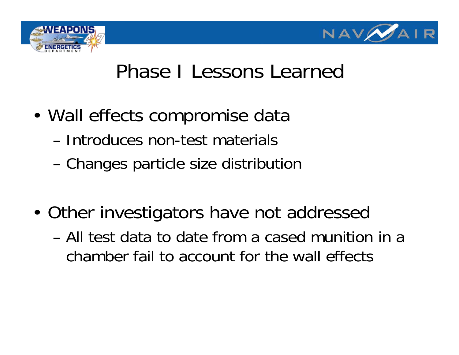



## Phase I Lessons Learned

- Wall effects compromise data
	- Introduces non-test materials
	- –Changes particle size distribution
- Other investigators have not addressed
	- All test data to date from a cased munition in a chamber fail to account for the wall effects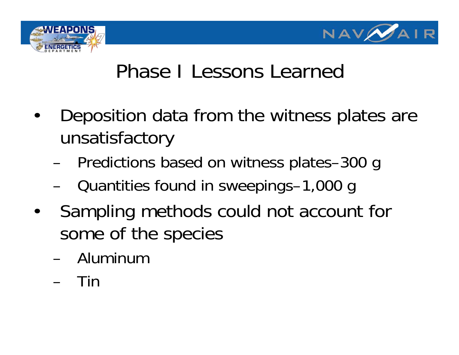



## Phase I Lessons Learned

- • Deposition data from the witness plates are unsatisfactory
	- –Predictions based on witness plates–300 g
	- –Quantities found in sweepings–1,000 g
- • Sampling methods could not account for some of the species
	- Aluminum
	- –Tin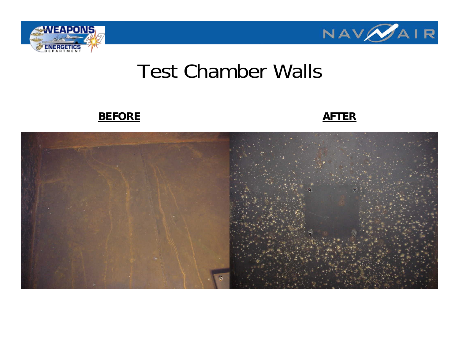



#### Test Chamber Walls

#### **BEFORE**

#### **AFTER**

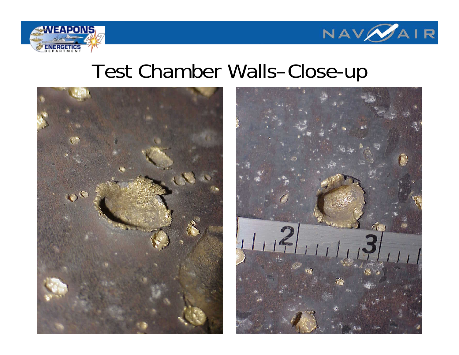



#### Test Chamber Walls–Close-up



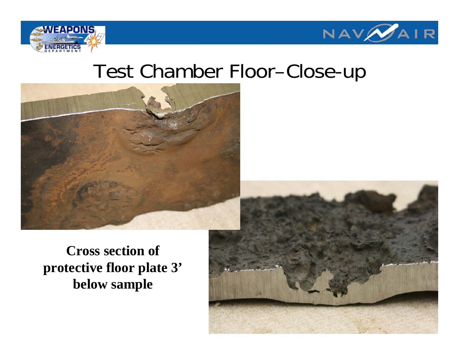



#### Test Chamber Floor–Close-up



**Cross section of protective floor plate 3' below sample**

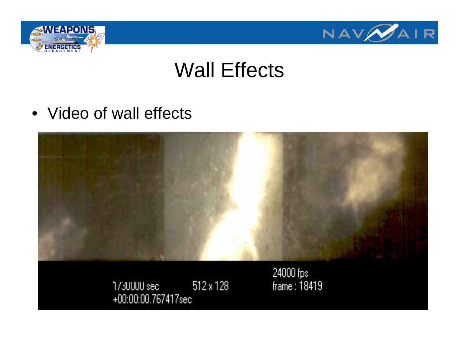



## Wall Effects

• Video of wall effects

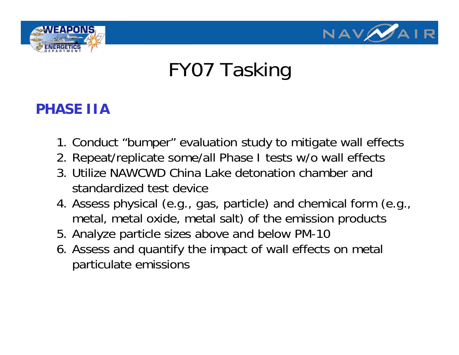



## FY07 Tasking

#### **PHASE IIA**

- 1. Conduct "bumper" evaluation study to mitigate wall effects
- 2. Repeat/replicate some/all Phase I tests w/o wall effects
- 3. Utilize NAWCWD China Lake detonation chamber and standardized test device
- 4. Assess physical (e.g., gas, particle) and chemical form (e.g., metal, metal oxide, metal salt) of the emission products
- 5. Analyze particle sizes above and below PM-10
- 6. Assess and quantify the impact of wall effects on metal particulate emissions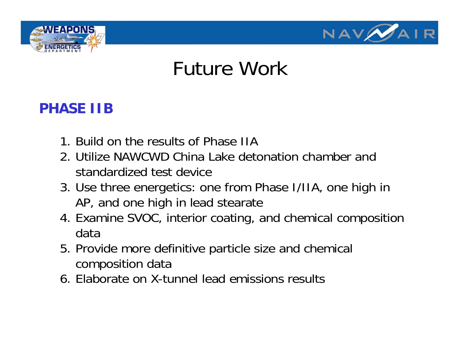



#### Future Work

#### **PHASE IIB**

- 1. Build on the results of Phase IIA
- 2. Utilize NAWCWD China Lake detonation chamber and standardized test device
- 3. Use three energetics: one from Phase I/IIA, one high in AP, and one high in lead stearate
- 4. Examine SVOC, interior coating, and chemical composition data
- 5. Provide more definitive particle size and chemical composition data
- 6. Elaborate on X-tunnel lead emissions results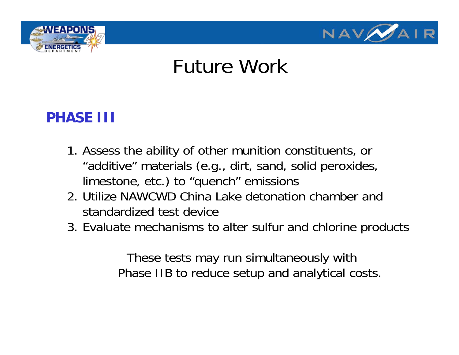



#### Future Work

#### **PHASE III**

- 1. Assess the ability of other munition constituents, or "additive" materials (e.g., dirt, sand, solid peroxides, limestone, etc.) to "quench" emissions
- 2. Utilize NAWCWD China Lake detonation chamber and standardized test device
- 3. Evaluate mechanisms to alter sulfur and chlorine products

These tests may run simultaneously with Phase IIB to reduce setup and analytical costs.